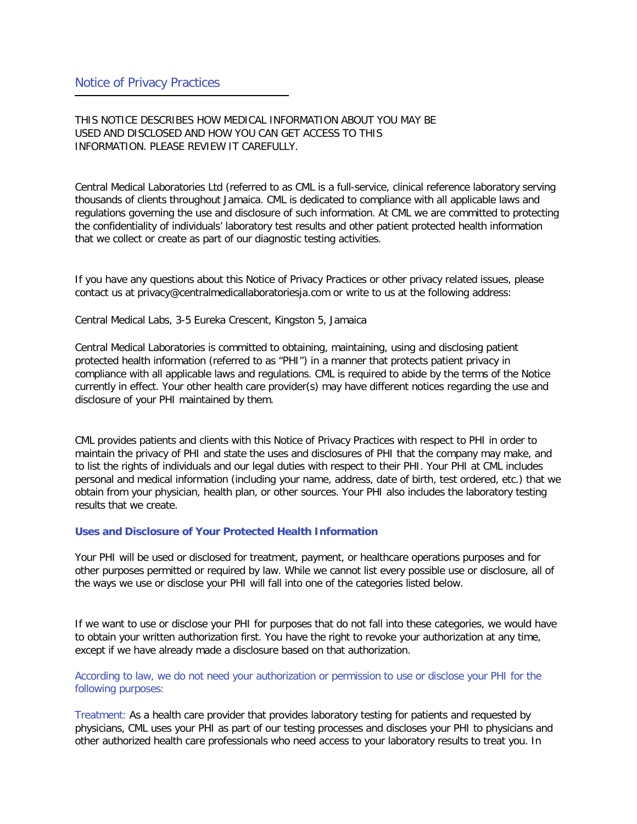THIS NOTICE DESCRIBES HOW MEDICAL INFORMATION ABOUT YOU MAY BE USED AND DISCLOSED AND HOW YOU CAN GET ACCESS TO THIS INFORMATION. PLEASE REVIEW IT CAREFULLY.

Central Medical Laboratories Ltd (referred to as CML is a full-service, clinical reference laboratory serving thousands of clients throughout Jamaica. CML is dedicated to compliance with all applicable laws and regulations governing the use and disclosure of such information. At CML we are committed to protecting the confidentiality of individuals' laboratory test results and other patient protected health information that we collect or create as part of our diagnostic testing activities.

If you have any questions about this Notice of Privacy Practices or other privacy related issues, please contact us at privacy@centralmedicallaboratoriesja.com or write to us at the following address:

Central Medical Labs, 3-5 Eureka Crescent, Kingston 5, Jamaica

Central Medical Laboratories is committed to obtaining, maintaining, using and disclosing patient protected health information (referred to as "PHI") in a manner that protects patient privacy in compliance with all applicable laws and regulations. CML is required to abide by the terms of the Notice currently in effect. Your other health care provider(s) may have different notices regarding the use and disclosure of your PHI maintained by them.

CML provides patients and clients with this Notice of Privacy Practices with respect to PHI in order to maintain the privacy of PHI and state the uses and disclosures of PHI that the company may make, and to list the rights of individuals and our legal duties with respect to their PHI. Your PHI at CML includes personal and medical information (including your name, address, date of birth, test ordered, etc.) that we obtain from your physician, health plan, or other sources. Your PHI also includes the laboratory testing results that we create.

## **Uses and Disclosure of Your Protected Health Information**

Your PHI will be used or disclosed for treatment, payment, or healthcare operations purposes and for other purposes permitted or required by law. While we cannot list every possible use or disclosure, all of the ways we use or disclose your PHI will fall into one of the categories listed below.

If we want to use or disclose your PHI for purposes that do not fall into these categories, we would have to obtain your written authorization first. You have the right to revoke your authorization at any time, except if we have already made a disclosure based on that authorization.

According to law, we do not need your authorization or permission to use or disclose your PHI for the following purposes:

Treatment: As a health care provider that provides laboratory testing for patients and requested by physicians, CML uses your PHI as part of our testing processes and discloses your PHI to physicians and other authorized health care professionals who need access to your laboratory results to treat you. In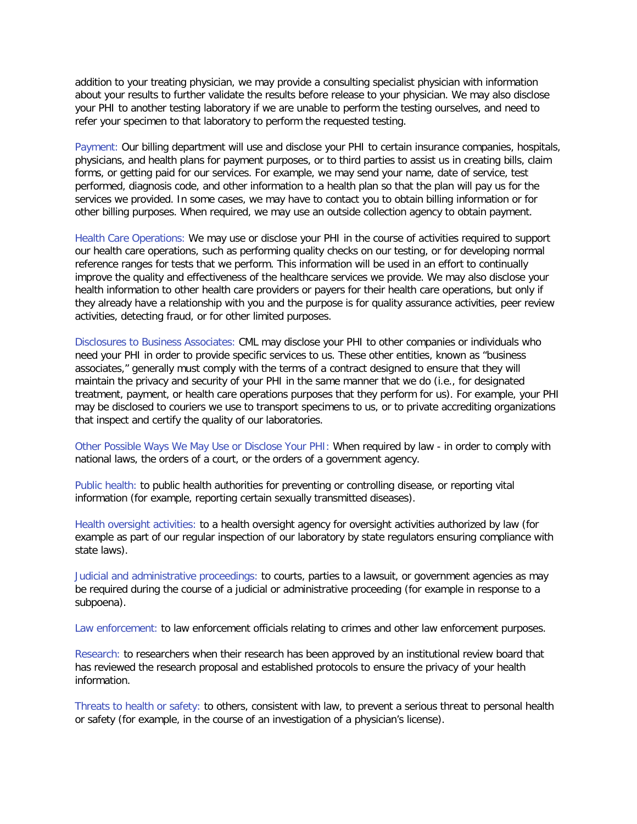addition to your treating physician, we may provide a consulting specialist physician with information about your results to further validate the results before release to your physician. We may also disclose your PHI to another testing laboratory if we are unable to perform the testing ourselves, and need to refer your specimen to that laboratory to perform the requested testing.

Payment: Our billing department will use and disclose your PHI to certain insurance companies, hospitals, physicians, and health plans for payment purposes, or to third parties to assist us in creating bills, claim forms, or getting paid for our services. For example, we may send your name, date of service, test performed, diagnosis code, and other information to a health plan so that the plan will pay us for the services we provided. In some cases, we may have to contact you to obtain billing information or for other billing purposes. When required, we may use an outside collection agency to obtain payment.

Health Care Operations: We may use or disclose your PHI in the course of activities required to support our health care operations, such as performing quality checks on our testing, or for developing normal reference ranges for tests that we perform. This information will be used in an effort to continually improve the quality and effectiveness of the healthcare services we provide. We may also disclose your health information to other health care providers or payers for their health care operations, but only if they already have a relationship with you and the purpose is for quality assurance activities, peer review activities, detecting fraud, or for other limited purposes.

Disclosures to Business Associates: CML may disclose your PHI to other companies or individuals who need your PHI in order to provide specific services to us. These other entities, known as "business associates," generally must comply with the terms of a contract designed to ensure that they will maintain the privacy and security of your PHI in the same manner that we do (i.e., for designated treatment, payment, or health care operations purposes that they perform for us). For example, your PHI may be disclosed to couriers we use to transport specimens to us, or to private accrediting organizations that inspect and certify the quality of our laboratories.

Other Possible Ways We May Use or Disclose Your PHI: When required by law - in order to comply with national laws, the orders of a court, or the orders of a government agency.

Public health: to public health authorities for preventing or controlling disease, or reporting vital information (for example, reporting certain sexually transmitted diseases).

Health oversight activities: to a health oversight agency for oversight activities authorized by law (for example as part of our regular inspection of our laboratory by state regulators ensuring compliance with state laws).

Judicial and administrative proceedings: to courts, parties to a lawsuit, or government agencies as may be required during the course of a judicial or administrative proceeding (for example in response to a subpoena).

Law enforcement: to law enforcement officials relating to crimes and other law enforcement purposes.

Research: to researchers when their research has been approved by an institutional review board that has reviewed the research proposal and established protocols to ensure the privacy of your health information.

Threats to health or safety: to others, consistent with law, to prevent a serious threat to personal health or safety (for example, in the course of an investigation of a physician's license).